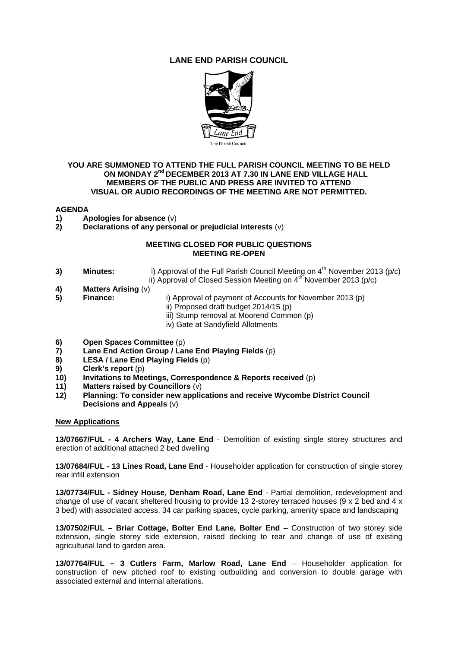# **LANE END PARISH COUNCIL**



## **YOU ARE SUMMONED TO ATTEND THE FULL PARISH COUNCIL MEETING TO BE HELD ON MONDAY 2nd DECEMBER 2013 AT 7.30 IN LANE END VILLAGE HALL MEMBERS OF THE PUBLIC AND PRESS ARE INVITED TO ATTEND VISUAL OR AUDIO RECORDINGS OF THE MEETING ARE NOT PERMITTED.**

# **AGENDA**

- **1)** Apologies for absence (v)<br>**2)** Declarations of any perso
- **2) Declarations of any personal or prejudicial interests** (v)

## **MEETING CLOSED FOR PUBLIC QUESTIONS MEETING RE-OPEN**

- **3)** Minutes: **i)** Approval of the Full Parish Council Meeting on 4<sup>th</sup> November 2013 (p/c) ii) Approval of Closed Session Meeting on  $4^{th}$  November 2013 (p/c)
- **4) Matters Arising** (v)
- 
- **5) Finance:** i) Approval of payment of Accounts for November 2013 (p)
	- ii) Proposed draft budget 2014/15 (p)
	- iii) Stump removal at Moorend Common (p)
	- iv) Gate at Sandyfield Allotments
- **6) Open Spaces Committee** (p)<br>**7) Lane End Action Group / Lar**
- **7) Lane End Action Group / Lane End Playing Fields** (p)
- **8) LESA / Lane End Playing Fields** (p)
- **9) Clerk's report** (p)
- **10) Invitations to Meetings, Correspondence & Reports received** (p)
- **11) Matters raised by Councillors** (v)
- **12) Planning: To consider new applications and receive Wycombe District Council Decisions and Appeals** (v)

#### **New Applications**

**13/07667/FUL - 4 Archers Way, Lane End** - Demolition of existing single storey structures and erection of additional attached 2 bed dwelling

**13/07684/FUL - 13 Lines Road, Lane End** - Householder application for construction of single storey rear infill extension

**13/07734/FUL - Sidney House, Denham Road, Lane End** - Partial demolition, redevelopment and change of use of vacant sheltered housing to provide 13 2-storey terraced houses (9 x 2 bed and 4 x 3 bed) with associated access, 34 car parking spaces, cycle parking, amenity space and landscaping

**13/07502/FUL – Briar Cottage, Bolter End Lane, Bolter End** – Construction of two storey side extension, single storey side extension, raised decking to rear and change of use of existing agriculturial land to garden area.

**13/07764/FUL – 3 Cutlers Farm, Marlow Road, Lane End** – Householder application for construction of new pitched roof to existing outbuilding and conversion to double garage with associated external and internal alterations.